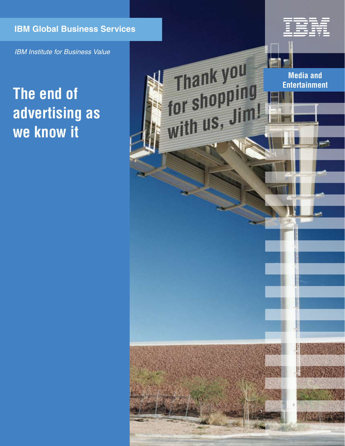**IBM Global Business Services**

*IBM Institute for Business Value*

# **The end of advertising as we know it**



**Media and Entertainment**

Thank you

Thank young<br>for shopping<br>with us, Jim!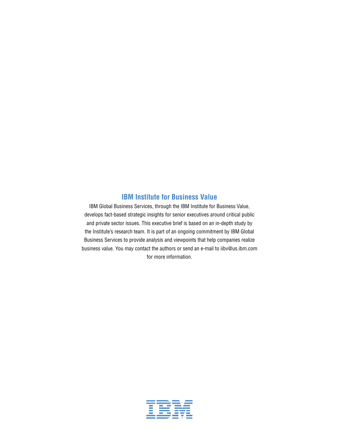## **IBM Institute for Business Value**

IBM Global Business Services, through the IBM Institute for Business Value, develops fact-based strategic insights for senior executives around critical public and private sector issues. This executive brief is based on an in-depth study by the Institute's research team. It is part of an ongoing commitment by IBM Global Business Services to provide analysis and viewpoints that help companies realize business value. You may contact the authors or send an e-mail to iibv@us.ibm.com for more information.

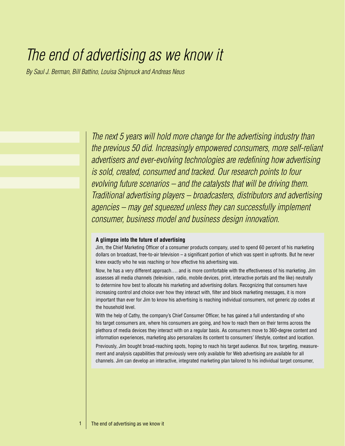# *The end of advertising as we know it*

*By Saul J. Berman, Bill Battino, Louisa Shipnuck and Andreas Neus*

*The next 5 years will hold more change for the advertising industry than the previous 50 did. Increasingly empowered consumers, more self-reliant advertisers and ever-evolving technologies are redefining how advertising is sold, created, consumed and tracked. Our research points to four evolving future scenarios – and the catalysts that will be driving them. Traditional advertising players – broadcasters, distributors and advertising agencies – may get squeezed unless they can successfully implement consumer, business model and business design innovation.*

#### **A glimpse into the future of advertising**

Jim, the Chief Marketing Officer of a consumer products company, used to spend 60 percent of his marketing dollars on broadcast, free-to-air television – a significant portion of which was spent in upfronts. But he never knew exactly who he was reaching or how effective his advertising was.

Now, he has a very different approach…. and is more comfortable with the effectiveness of his marketing. Jim assesses all media channels (television, radio, mobile devices, print, interactive portals and the like) neutrally to determine how best to allocate his marketing and advertising dollars. Recognizing that consumers have increasing control and choice over how they interact with, filter and block marketing messages, it is more important than ever for Jim to know his advertising is reaching individual consumers, not generic zip codes at the household level.

With the help of Cathy, the company's Chief Consumer Officer, he has gained a full understanding of who his target consumers are, where his consumers are going, and how to reach them on their terms across the plethora of media devices they interact with on a regular basis. As consumers move to 360-degree content and information experiences, marketing also personalizes its content to consumers' lifestyle, context and location.

Previously, Jim bought broad-reaching spots, hoping to reach his target audience. But now, targeting, measurement and analysis capabilities that previously were only available for Web advertising are available for all channels. Jim can develop an interactive, integrated marketing plan tailored to his individual target consumer,

 $\overline{1}$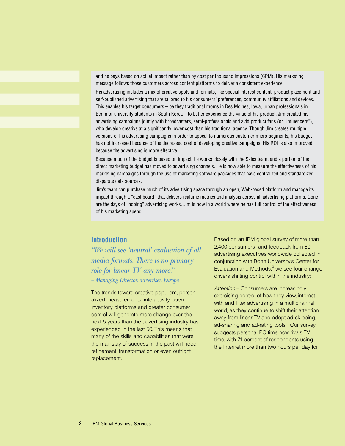and he pays based on actual impact rather than by cost per thousand impressions (CPM). His marketing message follows those customers across content platforms to deliver a consistent experience.

His advertising includes a mix of creative spots and formats, like special interest content, product placement and self-published advertising that are tailored to his consumers' preferences, community affiliations and devices. This enables his target consumers – be they traditional moms in Des Moines, Iowa, urban professionals in Berlin or university students in South Korea – to better experience the value of his product. Jim created his advertising campaigns jointly with broadcasters, semi-professionals and avid product fans (or "influencers"), who develop creative at a significantly lower cost than his traditional agency. Though Jim creates multiple versions of his advertising campaigns in order to appeal to numerous customer micro-segments, his budget has not increased because of the decreased cost of developing creative campaigns. His ROI is also improved, because the advertising is more effective.

Because much of the budget is based on impact, he works closely with the Sales team, and a portion of the direct marketing budget has moved to advertising channels. He is now able to measure the effectiveness of his marketing campaigns through the use of marketing software packages that have centralized and standardized disparate data sources.

Jim's team can purchase much of its advertising space through an open, Web-based platform and manage its impact through a "dashboard" that delivers realtime metrics and analysis across all advertising platforms. Gone are the days of "hoping" advertising works. Jim is now in a world where he has full control of the effectiveness of his marketing spend.

## **Introduction**

"We will see 'neutral' evaluation of all media formats. There is no primary role for linear TV any more." – Managing Director, advertiser, Europe

The trends toward creative populism, personalized measurements, interactivity, open inventory platforms and greater consumer control will generate more change over the next 5 years than the advertising industry has experienced in the last 50. This means that many of the skills and capabilities that were the mainstay of success in the past will need refinement, transformation or even outright replacement.

Based on an IBM global survey of more than 2,400 consumers<sup>1</sup> and feedback from 80 advertising executives worldwide collected in conjunction with Bonn University's Center for Evaluation and Methods, $<sup>2</sup>$  we see four change</sup> drivers shifting control within the industry:

Attention – Consumers are increasingly exercising control of how they view, interact with and filter advertising in a multichannel world, as they continue to shift their attention away from linear TV and adopt ad-skipping, ad-sharing and ad-rating tools.<sup>3</sup> Our survey suggests personal PC time now rivals TV time, with 71 percent of respondents using the Internet more than two hours per day for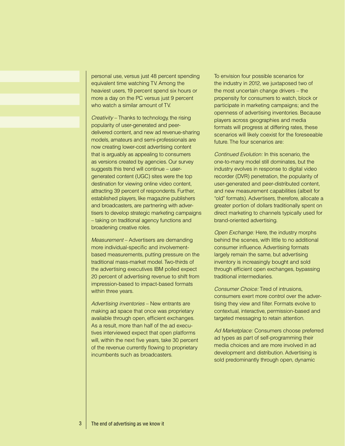personal use, versus just 48 percent spending equivalent time watching TV. Among the heaviest users, 19 percent spend six hours or more a day on the PC versus just 9 percent who watch a similar amount of TV.

Creativity – Thanks to technology, the rising popularity of user-generated and peerdelivered content, and new ad revenue-sharing models, amateurs and semi-professionals are now creating lower-cost advertising content that is arguably as appealing to consumers as versions created by agencies. Our survey suggests this trend will continue – usergenerated content (UGC) sites were the top destination for viewing online video content, attracting 39 percent of respondents. Further, established players, like magazine publishers and broadcasters, are partnering with advertisers to develop strategic marketing campaigns – taking on traditional agency functions and broadening creative roles.

Measurement – Advertisers are demanding more individual-specific and involvementbased measurements, putting pressure on the traditional mass-market model. Two-thirds of the advertising executives IBM polled expect 20 percent of advertising revenue to shift from impression-based to impact-based formats within three years.

Advertising inventories – New entrants are making ad space that once was proprietary available through open, efficient exchanges. As a result, more than half of the ad executives interviewed expect that open platforms will, within the next five years, take 30 percent of the revenue currently flowing to proprietary incumbents such as broadcasters.

To envision four possible scenarios for the industry in 2012, we juxtaposed two of the most uncertain change drivers – the propensity for consumers to watch, block or participate in marketing campaigns; and the openness of advertising inventories. Because players across geographies and media formats will progress at differing rates, these scenarios will likely coexist for the foreseeable future. The four scenarios are:

Continued Evolution: In this scenario, the one-to-many model still dominates, but the industry evolves in response to digital video recorder (DVR) penetration, the popularity of user-generated and peer-distributed content, and new measurement capabilities (albeit for "old" formats). Advertisers, therefore, allocate a greater portion of dollars traditionally spent on direct marketing to channels typically used for brand-oriented advertising.

Open Exchange: Here, the industry morphs behind the scenes, with little to no additional consumer influence. Advertising formats largely remain the same, but advertising inventory is increasingly bought and sold through efficient open exchanges, bypassing traditional intermediaries.

Consumer Choice: Tired of intrusions, consumers exert more control over the advertising they view and filter. Formats evolve to contextual, interactive, permission-based and targeted messaging to retain attention.

Ad Marketplace: Consumers choose preferred ad types as part of self-programming their media choices and are more involved in ad development and distribution. Advertising is sold predominantly through open, dynamic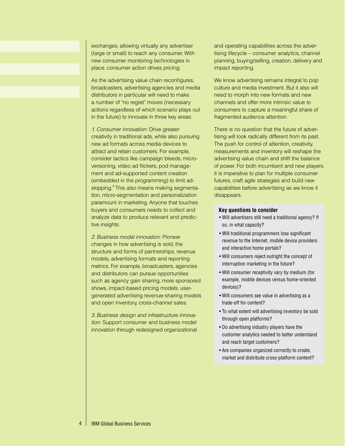exchanges, allowing virtually any advertiser (large or small) to reach any consumer. With new consumer monitoring technologies in place, consumer action drives pricing.

As the advertising value chain reconfigures, broadcasters, advertising agencies and media distributors in particular will need to make a number of "no regret" moves (necessary actions regardless of which scenario plays out in the future) to innovate in three key areas:

1. Consumer innovation: Drive greater creativity in traditional ads, while also pursuing new ad formats across media devices to attract and retain customers. For example, consider tactics like campaign bleeds, microversioning, video ad flickers, pod management and ad-supported content creation (embedded in the programming) to limit adskipping.<sup>4</sup> This also means making segmentation, micro-segmentation and personalization paramount in marketing. Anyone that touches buyers and consumers needs to collect and analyze data to produce relevant and predictive insights.

2. Business model innovation: Pioneer changes in how advertising is sold, the structure and forms of partnerships, revenue models, advertising formats and reporting metrics. For example, broadcasters, agencies and distributors can pursue opportunities such as agency gain sharing, more sponsored shows, impact-based pricing models, usergenerated advertising revenue-sharing models and open inventory, cross-channel sales.

3. Business design and infrastructure innovation: Support consumer and business model innovation through redesigned organizational and operating capabilities across the advertising lifecycle – consumer analytics, channel planning, buying/selling, creation, delivery and impact reporting.

We know advertising remains integral to pop culture and media investment. But it also will need to morph into new formats and new channels and offer more intrinsic value to consumers to capture a meaningful share of fragmented audience attention.

There is no question that the future of advertising will look radically different from its past. The push for control of attention, creativity, measurements and inventory will reshape the advertising value chain and shift the balance of power. For both incumbent and new players, it is imperative to plan for multiple consumer futures, craft agile strategies and build new capabilities before advertising as we know it disappears.

#### **Key questions to consider**

- Will advertisers still need a traditional agency? If so, in what capacity?
- Will traditional programmers lose significant revenue to the Internet, mobile device providers and interactive home portals?
- Will consumers reject outright the concept of interruption marketing in the future?
- Will consumer receptivity vary by medium (for example, mobile devices versus home-oriented devices)?
- Will consumers see value in advertising as a trade-off for content?
- To what extent will advertising inventory be sold through open platforms?
- Do advertising industry players have the customer analytics needed to better understand and reach target customers?
- Are companies organized correctly to create, market and distribute cross-platform content?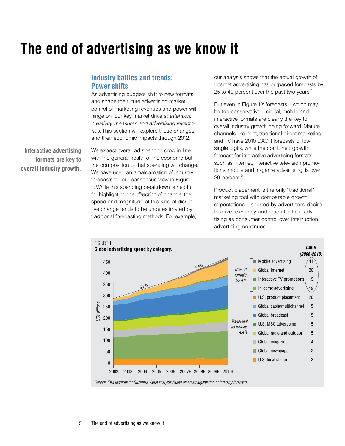# **The end of advertising as we know it**

# **Industry battles and trends: Power shifts**

As advertising budgets shift to new formats and shape the future advertising market, control of marketing revenues and power will hinge on four key market drivers: attention, creativity, measures and advertising inventories. This section will explore these changes and their economic impacts through 2012.

We expect overall ad spend to grow in line with the general health of the economy, but the composition of that spending will change. We have used an amalgamation of industry forecasts for our consensus view in Figure 1. While this spending breakdown is helpful for highlighting the direction of change, the speed and magnitude of this kind of disruptive change tends to be underestimated by traditional forecasting methods. For example,

our analysis shows that the actual growth of Internet advertising has outpaced forecasts by 25 to 40 percent over the past two years.<sup>5</sup>

But even in Figure 1's forecasts – which may be too conservative – digital, mobile and interactive formats are clearly the key to overall industry growth going forward. Mature channels like print, traditional direct marketing and TV have 2010 CAGR forecasts of low single digits, while the combined growth forecast for interactive advertising formats, such as Internet, interactive television promotions, mobile and in-game advertising, is over 20 percent.<sup>6</sup>

Product placement is the only "traditional" marketing tool with comparable growth expectations – spurred by advertisers' desire to drive relevancy and reach for their advertising as consumer control over interruption advertising continues.



*Source: IBM Institute for Business Value analysis based on an amalgamation of industry forecasts.*

**Interactive advertising formats are key to overall industry growth.**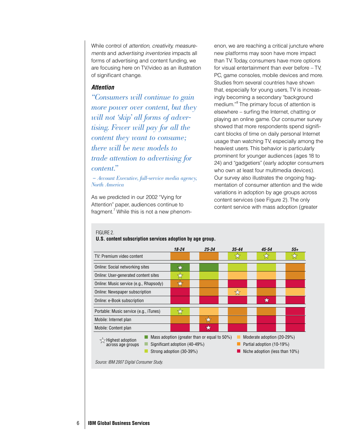While control of attention, creativity, measurements and advertising inventories impacts all forms of advertising and content funding, we are focusing here on TV/video as an illustration of significant change.

## *Attention*

"Consumers will continue to gain more power over content, but they will not 'skip' all forms of advertising. Fewer will pay for all the content they want to consume; there will be new models to trade attention to advertising for content."

 – Account Executive, full-service media agency, North America

As we predicted in our 2002 "Vying for Attention" paper, audiences continue to fragment.<sup>7</sup> While this is not a new phenomenon, we are reaching a critical juncture where new platforms may soon have more impact than TV. Today, consumers have more options for visual entertainment than ever before – TV, PC, game consoles, mobile devices and more. Studies from several countries have shown that, especially for young users, TV is increasingly becoming a secondary "background medium."<sup>8</sup> The primary focus of attention is elsewhere – surfing the Internet, chatting or playing an online game. Our consumer survey showed that more respondents spend significant blocks of time on daily personal Internet usage than watching TV, especially among the heaviest users. This behavior is particularly prominent for younger audiences (ages 18 to 24) and "gadgetiers" (early adopter consumers who own at least four multimedia devices). Our survey also illustrates the ongoing fragmentation of consumer attention and the wide variations in adoption by age groups across content services (see Figure 2). The only content service with mass adoption (greater



### FIGURE 2.

**U.S. content subscription services adoption by age group.**

*Source: IBM 2007 Digital Consumer Study.*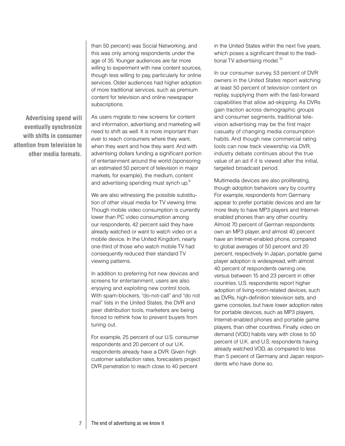than 50 percent) was Social Networking, and this was only among respondents under the age of 35. Younger audiences are far more willing to experiment with new content sources, though less willing to pay, particularly for online services. Older audiences had higher adoption of more traditional services, such as premium content for television and online newspaper subscriptions.

**Advertising spend will eventually synchronize with shifts in consumer attention from television to other media formats.**

As users migrate to new screens for content and information, advertising and marketing will need to shift as well. It is more important than ever to reach consumers where they want, when they want and how they want. And with advertising dollars funding a significant portion of entertainment around the world (sponsoring an estimated 50 percent of television in major markets, for example), the medium, content and advertising spending must synch up.<sup>9</sup>

We are also witnessing the possible substitution of other visual media for TV viewing time. Though mobile video consumption is currently lower than PC video consumption among our respondents, 42 percent said they have already watched or want to watch video on a mobile device. In the United Kingdom, nearly one-third of those who watch mobile TV had consequently reduced their standard TV viewing patterns.

In addition to preferring hot new devices and screens for entertainment, users are also enjoying and exploiting new control tools. With spam-blockers, "do-not-call" and "do not mail" lists in the United States, the DVR and peer distribution tools, marketers are being forced to rethink how to prevent buyers from tuning out.

For example, 25 percent of our U.S. consumer respondents and 20 percent of our U.K. respondents already have a DVR. Given high customer satisfaction rates, forecasters project DVR penetration to reach close to 40 percent

in the United States within the next five years, which poses a significant threat to the traditional TV advertising model.<sup>10</sup>

In our consumer survey, 53 percent of DVR owners in the United States report watching at least 50 percent of television content on replay, supplying them with the fast-forward capabilities that allow ad-skipping. As DVRs gain traction across demographic groups and consumer segments, traditional television advertising may be the first major casualty of changing media consumption habits. And though new commercial rating tools can now track viewership via DVR, industry debate continues about the true value of an ad if it is viewed after the initial, targeted broadcast period.

Multimedia devices are also proliferating, though adoption behaviors vary by country. For example, respondents from Germany appear to prefer portable devices and are far more likely to have MP3 players and Internetenabled phones than any other country. Almost 70 percent of German respondents own an MP3 player, and almost 40 percent have an Internet-enabled phone, compared to global averages of 50 percent and 20 percent, respectively. In Japan, portable game player adoption is widespread, with almost 40 percent of respondents owning one, versus between 15 and 23 percent in other countries. U.S. respondents report higher adoption of living-room-related devices, such as DVRs, high-definition television sets, and game consoles, but have lower adoption rates for portable devices, such as MP3 players, Internet-enabled phones and portable game players, than other countries. Finally, video on demand (VOD) habits vary, with close to 50 percent of U.K. and U.S. respondents having already watched VOD, as compared to less than 5 percent of Germany and Japan respondents who have done so.

 $\overline{7}$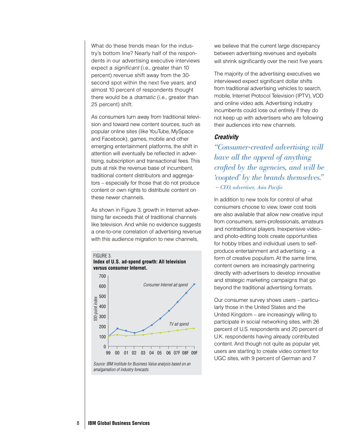What do these trends mean for the industry's bottom line? Nearly half of the respondents in our advertising executive interviews expect a *significant* (i.e., greater than 10 percent) revenue shift away from the 30 second spot within the next five years, and almost 10 percent of respondents thought there would be a *dramatic* (i.e., greater than 25 percent) shift.

As consumers turn away from traditional television and toward new content sources, such as popular online sites (like YouTube, MySpace and Facebook), games, mobile and other emerging entertainment platforms, the shift in attention will eventually be reflected in advertising, subscription and transactional fees. This puts at risk the revenue base of incumbent, traditional content distributors and aggregators – especially for those that do not produce content or own rights to distribute content on these newer channels.

As shown in Figure 3, growth in Internet advertising far exceeds that of traditional channels like television. And while no evidence suggests a one-to-one correlation of advertising revenue with this audience migration to new channels,

#### FIGURE 3. **Index of U.S. ad-spend growth: All television versus consumer Internet.**



*Source: IBM Institute for Business Value analysis based on an amalgamation of industry forecasts.*

we believe that the current large discrepancy between advertising revenues and eyeballs will shrink significantly over the next five years.

The majority of the advertising executives we interviewed expect significant dollar shifts from traditional advertising vehicles to search, mobile, Internet Protocol Television (IPTV), VOD and online video ads. Advertising industry incumbents could lose out entirely if they do not keep up with advertisers who are following their audiences into new channels.

## *Creativity*

"Consumer-created advertising will have all the appeal of anything crafted by the agencies, and will be 'coopted' by the brands themselves." – CEO, advertiser, Asia Pacific

In addition to new tools for control of what consumers choose to view, lower cost tools are also available that allow new creative input from consumers, semi-professionals, amateurs and nontraditional players. Inexpensive videoand photo-editing tools create opportunities for hobby tribes and individual users to selfproduce entertainment and advertising – a form of creative populism. At the same time, content owners are increasingly partnering directly with advertisers to develop innovative and strategic marketing campaigns that go beyond the traditional advertising formats.

Our consumer survey shows users – particularly those in the United States and the United Kingdom – are increasingly willing to participate in social networking sites, with 26 percent of U.S. respondents and 20 percent of U.K. respondents having already contributed content. And though not quite as popular yet, users are starting to create video content for UGC sites, with 9 percent of German and 7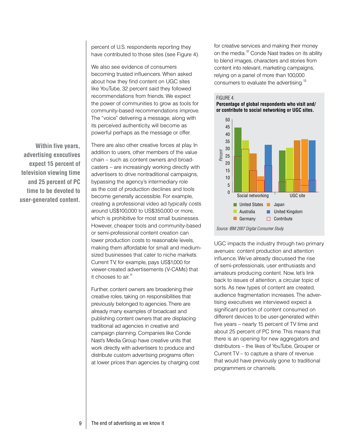percent of U.S. respondents reporting they have contributed to those sites (see Figure 4).

We also see evidence of consumers becoming trusted influencers. When asked about how they find content on UGC sites like YouTube, 32 percent said they followed recommendations from friends. We expect the power of communities to grow as tools for community-based recommendations improve. The "voice" delivering a message, along with its perceived authenticity, will become as powerful perhaps as the message or offer.

There are also other creative forces at play. In addition to users, other members of the value chain – such as content owners and broadcasters – are increasingly working directly with advertisers to drive nontraditional campaigns, bypassing the agency's intermediary role as the cost of production declines and tools become generally accessible. For example, creating a professional video ad typically costs around US\$100,000 to US\$350,000 or more, which is prohibitive for most small businesses. However, cheaper tools and community-based or semi-professional content creation can lower production costs to reasonable levels, making them affordable for small and mediumsized businesses that cater to niche markets. Current TV, for example, pays US\$1,000 for viewer-created advertisements (V-CAMs) that it chooses to air. $11$ 

Further, content owners are broadening their creative roles, taking on responsibilities that previously belonged to agencies. There are already many examples of broadcast and publishing content owners that are displacing traditional ad agencies in creative and campaign planning. Companies like Conde Nast's Media Group have creative units that work directly with advertisers to produce and distribute custom advertising programs often at lower prices than agencies by charging cost for creative services and making their money on the media.<sup>12</sup> Conde Nast trades on its ability to blend images, characters and stories from content into relevant, marketing campaigns, relying on a panel of more than 100,000 consumers to evaluate the advertising.<sup>13</sup>



**Percentage of global respondents who visit and/ or contribute to social networking or UGC sites.**



UGC impacts the industry through two primary avenues: content production and attention influence. We've already discussed the rise of semi-professionals, user enthusiasts and amateurs producing content. Now, let's link back to issues of attention, a circular topic of sorts. As new types of content are created, audience fragmentation increases. The advertising executives we interviewed expect a significant portion of content consumed on different devices to be user-generated within five years – nearly 15 percent of TV time and about 25 percent of PC time. This means that there is an opening for new aggregators and distributors – the likes of YouTube, Grouper or Current TV – to capture a share of revenue that would have previously gone to traditional programmers or channels.

**Within five years, advertising executives expect 15 percent of television viewing time and 25 percent of PC time to be devoted to user-generated content.**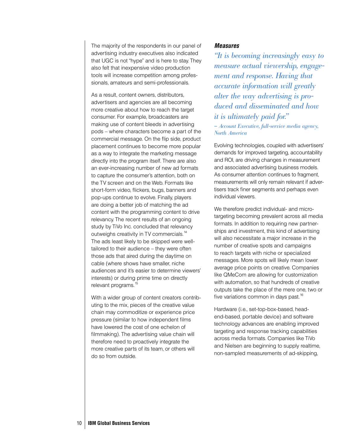The majority of the respondents in our panel of advertising industry executives also indicated that UGC is not "hype" and is here to stay. They also felt that inexpensive video production tools will increase competition among professionals, amateurs and semi-professionals.

As a result, content owners, distributors, advertisers and agencies are all becoming more creative about how to reach the target consumer. For example, broadcasters are making use of content bleeds in advertising pods – where characters become a part of the commercial message. On the flip side, product placement continues to become more popular as a way to integrate the marketing message directly into the program itself. There are also an ever-increasing number of new ad formats to capture the consumer's attention, both on the TV screen and on the Web. Formats like short-form video, flickers, bugs, banners and pop-ups continue to evolve. Finally, players are doing a better job of matching the ad content with the programming content to drive relevancy. The recent results of an ongoing study by TiVo Inc. concluded that relevancy outweighs creativity in TV commercials.<sup>14</sup> The ads least likely to be skipped were welltailored to their audience – they were often those ads that aired during the daytime on cable (where shows have smaller, niche audiences and it's easier to determine viewers' interests) or during prime time on directly relevant programs.<sup>15</sup>

With a wider group of content creators contributing to the mix, pieces of the creative value chain may commoditize or experience price pressure (similar to how independent films have lowered the cost of one echelon of filmmaking). The advertising value chain will therefore need to proactively integrate the more creative parts of its team, or others will do so from outside.

## *Measures*

"It is becoming increasingly easy to measure actual viewership, engagement and response. Having that accurate information will greatly alter the way advertising is produced and disseminated and how it is ultimately paid for."

– Account Executive, full-service media agency, North America

Evolving technologies, coupled with advertisers' demands for improved targeting, accountability and ROI, are driving changes in measurement and associated advertising business models. As consumer attention continues to fragment, measurements will only remain relevant if advertisers track finer segments and perhaps even individual viewers.

We therefore predict individual- and microtargeting becoming prevalent across all media formats. In addition to requiring new partnerships and investment, this kind of advertising will also necessitate a major increase in the number of creative spots and campaigns to reach targets with niche or specialized messages. More spots will likely mean lower average price points on creative. Companies like QMeCom are allowing for customization with automation, so that hundreds of creative outputs take the place of the mere one, two or five variations common in days past.<sup>16</sup>

Hardware (i.e., set-top-box-based, headend-based, portable device) and software technology advances are enabling improved targeting and response tracking capabilities across media formats. Companies like TiVo and Nielsen are beginning to supply realtime, non-sampled measurements of ad-skipping,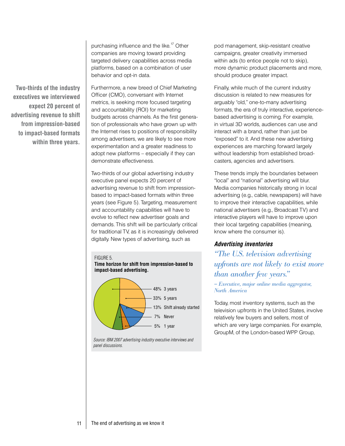**Two-thirds of the industry executives we interviewed expect 20 percent of advertising revenue to shift from impression-based to impact-based formats within three years.**

purchasing influence and the like.<sup>17</sup> Other companies are moving toward providing targeted delivery capabilities across media platforms, based on a combination of user behavior and opt-in data.

Furthermore, a new breed of Chief Marketing Officer (CMO), conversant with Internet metrics, is seeking more focused targeting and accountability (ROI) for marketing budgets across channels. As the first generation of professionals who have grown up with the Internet rises to positions of responsibility among advertisers, we are likely to see more experimentation and a greater readiness to adopt new platforms – especially if they can demonstrate effectiveness.

Two-thirds of our global advertising industry executive panel expects 20 percent of advertising revenue to shift from impressionbased to impact-based formats within three years (see Figure 5). Targeting, measurement and accountability capabilities will have to evolve to reflect new advertiser goals and demands. This shift will be particularly critical for traditional TV, as it is increasingly delivered digitally. New types of advertising, such as

#### FIGURE 5.

**Time horizon for shift from impression-based to impact-based advertising.**



*Source: IBM 2007 advertising industry executive interviews and panel discussions.*

pod management, skip-resistant creative campaigns, greater creativity immersed within ads (to entice people not to skip), more dynamic product placements and more, should produce greater impact.

Finally, while much of the current industry discussion is related to new measures for arguably "old," one-to-many advertising formats, the era of truly interactive, experiencebased advertising is coming. For example, in virtual 3D worlds, audiences can use and interact with a brand, rather than just be "exposed" to it. And these new advertising experiences are marching forward largely without leadership from established broadcasters, agencies and advertisers.

These trends imply the boundaries between "local" and "national" advertising will blur. Media companies historically strong in local advertising (e.g., cable, newspapers) will have to improve their interactive capabilities, while national advertisers (e.g., Broadcast TV) and interactive players will have to improve upon their local targeting capabilities (meaning, know where the consumer is).

#### *Advertising inventories*

"The U.S. television advertising upfronts are not likely to exist more than another few years."

– Executive, major online media aggregator, North America

Today, most inventory systems, such as the television upfronts in the United States, involve relatively few buyers and sellers, most of which are very large companies. For example, GroupM, of the London-based WPP Group,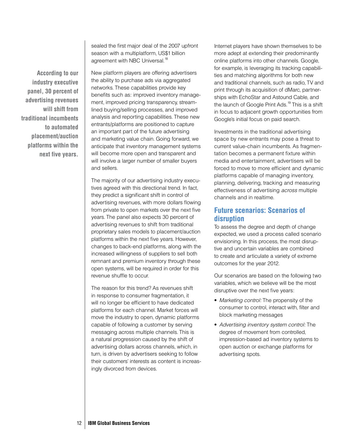**According to our industry executive panel, 30 percent of advertising revenues will shift from traditional incumbents to automated placement/auction platforms within the next five years.**

sealed the first major deal of the 2007 upfront season with a multiplatform, US\$1 billion agreement with NBC Universal.<sup>18</sup>

New platform players are offering advertisers the ability to purchase ads via aggregated networks. These capabilities provide key benefits such as: improved inventory management, improved pricing transparency, streamlined buying/selling processes, and improved analysis and reporting capabilities. These new entrants/platforms are positioned to capture an important part of the future advertising and marketing value chain. Going forward, we anticipate that inventory management systems will become more open and transparent and will involve a larger number of smaller buyers and sellers.

The majority of our advertising industry executives agreed with this directional trend. In fact, they predict a significant shift in control of advertising revenues, with more dollars flowing from private to open markets over the next five years. The panel also expects 30 percent of advertising revenues to shift from traditional proprietary sales models to placement/auction platforms within the next five years. However, changes to back-end platforms, along with the increased willingness of suppliers to sell both remnant and premium inventory through these open systems, will be required in order for this revenue shuffle to occur.

The reason for this trend? As revenues shift in response to consumer fragmentation, it will no longer be efficient to have dedicated platforms for each channel. Market forces will move the industry to open, dynamic platforms capable of following a customer by serving messaging across multiple channels. This is a natural progression caused by the shift of advertising dollars across channels, which, in turn, is driven by advertisers seeking to follow their customers' interests as content is increasingly divorced from devices.

Internet players have shown themselves to be more adept at extending their predominantly online platforms into other channels. Google, for example, is leveraging its tracking capabilities and matching algorithms for both new and traditional channels, such as radio, TV and print through its acquisition of dMarc, partnerships with EchoStar and Astound Cable, and the launch of Google Print Ads.<sup>19</sup> This is a shift in focus to adjacent growth opportunities from Google's initial focus on paid search.

Investments in the traditional advertising space by new entrants may pose a threat to current value-chain incumbents. As fragmentation becomes a permanent fixture within media and entertainment, advertisers will be forced to move to more efficient and dynamic platforms capable of managing inventory, planning, delivering, tracking and measuring effectiveness of advertising across multiple channels and in realtime.

# **Future scenarios: Scenarios of disruption**

To assess the degree and depth of change expected, we used a process called scenario envisioning. In this process, the most disruptive and uncertain variables are combined to create and articulate a variety of extreme outcomes for the year 2012.

Our scenarios are based on the following two variables, which we believe will be the most disruptive over the next five years:

- Marketing control: The propensity of the consumer to control, interact with, filter and block marketing messages
- Advertising inventory system control: The degree of movement from controlled, impression-based ad inventory systems to open auction or exchange platforms for advertising spots.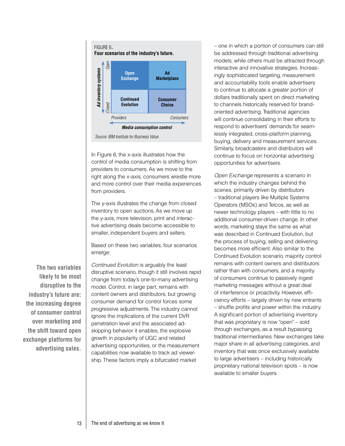

In Figure 6, the x-axis illustrates how the control of media consumption is shifting from providers to consumers. As we move to the right along the x-axis, consumers wrestle more and more control over their media experiences from providers.

The y-axis illustrates the change from closed inventory to open auctions. As we move up the y-axis, more television, print and interactive advertising deals become accessible to smaller, independent buyers and sellers.

Based on these two variables, four scenarios emerge:

**The two variables likely to be most disruptive to the industry's future are: the increasing degree of consumer control over marketing and the shift toward open exchange platforms for advertising sales.**

Continued Evolution is arguably the least disruptive scenario, though it still involves rapid change from today's one-to-many advertising model. Control, in large part, remains with content owners and distributors, but growing consumer demand for control forces some progressive adjustments. The industry cannot ignore the implications of the current DVR penetration level and the associated adskipping behavior it enables, the explosive growth in popularity of UGC and related advertising opportunities, or the measurement capabilities now available to track ad viewership. These factors imply a bifurcated market

– one in which a portion of consumers can still be addressed through traditional advertising models, while others must be attracted through interactive and innovative strategies. Increasingly sophisticated targeting, measurement and accountability tools enable advertisers to continue to allocate a greater portion of dollars traditionally spent on direct marketing to channels historically reserved for brandoriented advertising. Traditional agencies will continue consolidating in their efforts to respond to advertisers' demands for seamlessly integrated, cross-platform planning, buying, delivery and measurement services. Similarly, broadcasters and distributors will continue to focus on horizontal advertising opportunities for advertisers.

Open Exchange represents a scenario in which the industry changes behind the scenes, primarily driven by distributors – traditional players like Multiple Systems Operators (MSOs) and Telcos, as well as newer technology players – with little to no additional consumer-driven change. In other words, marketing stays the same as what was described in Continued Evolution, but the process of buying, selling and delivering becomes more efficient. Also similar to the Continued Evolution scenario, majority control remains with content owners and distributors rather than with consumers, and a majority of consumers continue to passively ingest marketing messages without a great deal of interference or proactivity. However, efficiency efforts – largely driven by new entrants – shuffle profits and power within the industry. A significant portion of advertising inventory that was proprietary is now "open" – sold through exchanges, as a result bypassing traditional intermediaries. New exchanges take major share in all advertising categories, and inventory that was once exclusively available to large advertisers – including historically proprietary national television spots – is now available to smaller buyers.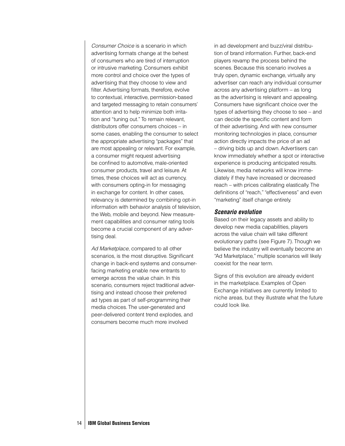Consumer Choice is a scenario in which advertising formats change at the behest of consumers who are tired of interruption or intrusive marketing. Consumers exhibit more control and choice over the types of advertising that they choose to view and filter. Advertising formats, therefore, evolve to contextual, interactive, permission-based and targeted messaging to retain consumers' attention and to help minimize both irritation and "tuning out." To remain relevant, distributors offer consumers choices – in some cases, enabling the consumer to select the appropriate advertising "packages" that are most appealing or relevant. For example, a consumer might request advertising be confined to automotive, male-oriented consumer products, travel and leisure. At times, these choices will act as currency, with consumers opting-in for messaging in exchange for content. In other cases, relevancy is determined by combining opt-in information with behavior analysis of television, the Web, mobile and beyond. New measurement capabilities and consumer rating tools become a crucial component of any advertising deal.

Ad Marketplace, compared to all other scenarios, is the most disruptive. Significant change in back-end systems and consumerfacing marketing enable new entrants to emerge across the value chain. In this scenario, consumers reject traditional advertising and instead choose their preferred ad types as part of self-programming their media choices. The user-generated and peer-delivered content trend explodes, and consumers become much more involved

in ad development and buzz/viral distribution of brand information. Further, back-end players revamp the process behind the scenes. Because this scenario involves a truly open, dynamic exchange, virtually any advertiser can reach any individual consumer across any advertising platform – as long as the advertising is relevant and appealing. Consumers have significant choice over the types of advertising they choose to see – and can decide the specific content and form of their advertising. And with new consumer monitoring technologies in place, consumer action directly impacts the price of an ad – driving bids up and down. Advertisers can know immediately whether a spot or interactive experience is producing anticipated results. Likewise, media networks will know immediately if they have increased or decreased reach – with prices calibrating elastically. The definitions of "reach," "effectiveness" and even "marketing" itself change entirely.

### *Scenario evolution*

Based on their legacy assets and ability to develop new media capabilities, players across the value chain will take different evolutionary paths (see Figure 7). Though we believe the industry will eventually become an "Ad Marketplace," multiple scenarios will likely coexist for the near term.

Signs of this evolution are already evident in the marketplace. Examples of Open Exchange initiatives are currently limited to niche areas, but they illustrate what the future could look like.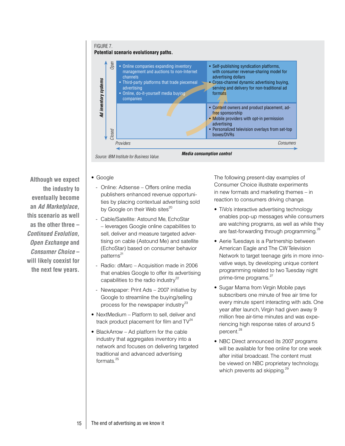

**Although we expect the industry to eventually become an** *Ad Marketplace***, this scenario as well as the other three –**  *Continued Evolution, Open Exchange* **and**  *Consumer Choice* **– will likely coexist for the next few years.**

### • Google

- Online: Adsense Offers online media publishers enhanced revenue opportunities by placing contextual advertising sold by Google on their Web sites $^{20}$
- Cable/Satellite: Astound Me, EchoStar – leverages Google online capabilities to sell, deliver and measure targeted advertising on cable (Astound Me) and satellite (EchoStar) based on consumer behavior patterns<sup>21</sup>
- Radio: dMarc Acquisition made in 2006 that enables Google to offer its advertising capabilities to the radio industry<sup>22</sup>
- Newspaper: Print Ads 2007 initiative by Google to streamline the buying/selling process for the newspaper industry<sup>23</sup>
- NextMedium Platform to sell, deliver and track product placement for film and  $TV^{24}$
- BlackArrow Ad platform for the cable industry that aggregates inventory into a network and focuses on delivering targeted traditional and advanced advertising formats $^{25}$

The following present-day examples of Consumer Choice illustrate experiments in new formats and marketing themes – in reaction to consumers driving change.

- TiVo's interactive advertising technology enables pop-up messages while consumers are watching programs, as well as while they are fast-forwarding through programming.<sup>26</sup>
- Aerie Tuesdays is a Partnership between American Eagle and The CW Television Network to target teenage girls in more innovative ways, by developing unique content programming related to two Tuesday night prime-time programs.<sup>27</sup>
- Sugar Mama from Virgin Mobile pays subscribers one minute of free air time for every minute spent interacting with ads. One year after launch, Virgin had given away 9 million free air-time minutes and was experiencing high response rates of around 5 percent.<sup>28</sup>
- NBC Direct announced its 2007 programs will be available for free online for one week after initial broadcast. The content must be viewed on NBC proprietary technology, which prevents ad skipping.<sup>29</sup>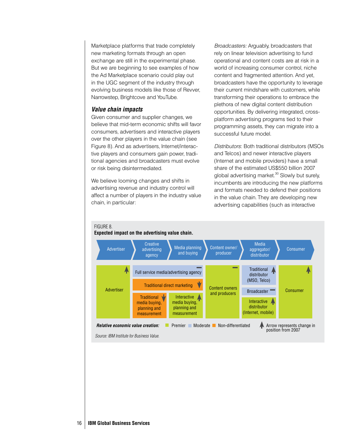Marketplace platforms that trade completely new marketing formats through an open exchange are still in the experimental phase. But we are beginning to see examples of how the Ad Marketplace scenario could play out in the UGC segment of the industry through evolving business models like those of Revver, Narrowstep, Brightcove and YouTube.

#### *Value chain impacts*

Given consumer and supplier changes, we believe that mid-term economic shifts will favor consumers, advertisers and interactive players over the other players in the value chain (see Figure 8). And as advertisers, Internet/interactive players and consumers gain power, traditional agencies and broadcasters must evolve or risk being disintermediated.

We believe looming changes and shifts in advertising revenue and industry control will affect a number of players in the industry value chain, in particular:

Broadcasters: Arguably, broadcasters that rely on linear television advertising to fund operational and content costs are at risk in a world of increasing consumer control, niche content and fragmented attention. And yet, broadcasters have the opportunity to leverage their current mindshare with customers, while transforming their operations to embrace the plethora of new digital content distribution opportunities. By delivering integrated, crossplatform advertising programs tied to their programming assets, they can migrate into a successful future model.

Distributors: Both traditional distributors (MSOs and Telcos) and newer interactive players (Internet and mobile providers) have a small share of the estimated US\$550 billion 2007 global advertising market.<sup>30</sup> Slowly but surely, incumbents are introducing the new platforms and formats needed to defend their positions in the value chain. They are developing new advertising capabilities (such as interactive

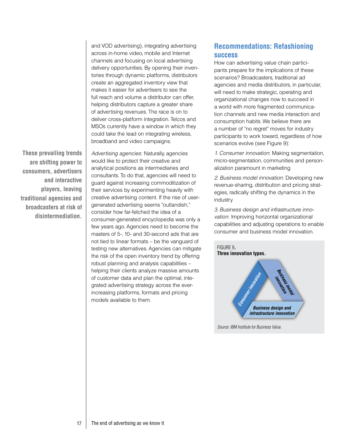**These prevailing trends are shifting power to consumers, advertisers and interactive players, leaving traditional agencies and broadcasters at risk of disintermediation.**

and VOD advertising), integrating advertising across in-home video, mobile and Internet channels and focusing on local advertising delivery opportunities. By opening their inventories through dynamic platforms, distributors create an aggregated inventory view that makes it easier for advertisers to see the full reach and volume a distributor can offer, helping distributors capture a greater share of advertising revenues. The race is on to deliver cross-platform integration. Telcos and MSOs currently have a window in which they could take the lead on integrating wireless, broadband and video campaigns.

Advertising agencies: Naturally, agencies would like to protect their creative and analytical positions as intermediaries and consultants. To do that, agencies will need to guard against increasing commoditization of their services by experimenting heavily with creative advertising content. If the rise of usergenerated advertising seems "outlandish," consider how far-fetched the idea of a consumer-generated encyclopedia was only a few years ago. Agencies need to become the masters of 5-, 10- and 30-second ads that are not tied to linear formats – be the vanguard of testing new alternatives. Agencies can mitigate the risk of the open inventory trend by offering robust planning and analysis capabilities – helping their clients analyze massive amounts of customer data and plan the optimal, integrated advertising strategy across the everincreasing platforms, formats and pricing models available to them.

# **Recommendations: Refashioning success**

How can advertising value chain participants prepare for the implications of these scenarios? Broadcasters, traditional ad agencies and media distributors, in particular, will need to make strategic, operating and organizational changes now to succeed in a world with more fragmented communication channels and new media interaction and consumption habits. We believe there are a number of "no regret" moves for industry participants to work toward, regardless of how scenarios evolve (see Figure 9):

1. Consumer innovation: Making segmentation, micro-segmentation, communities and personalization paramount in marketing

2. Business model innovation: Developing new revenue-sharing, distribution and pricing strategies, radically shifting the dynamics in the industry

3. Business design and infrastructure innovation: Improving horizontal organizational capabilities and adjusting operations to enable consumer and business model innovation.



*Source: IBM Institute for Business Value.*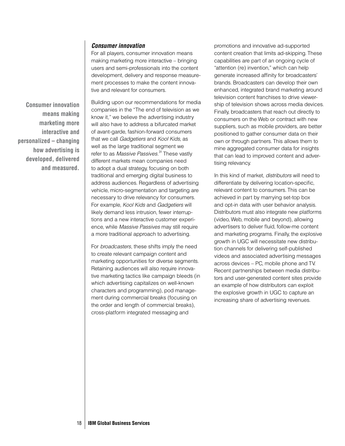## *Consumer innovation*

For all players, consumer innovation means making marketing more interactive – bringing users and semi-professionals into the content development, delivery and response measurement processes to make the content innovative and relevant for consumers.

**Consumer innovation means making marketing more interactive and personalized – changing how advertising is developed, delivered and measured.** Building upon our recommendations for media companies in the "The end of television as we know it," we believe the advertising industry will also have to address a bifurcated market of avant-garde, fashion-forward consumers that we call Gadgetiers and Kool Kids, as well as the large traditional segment we refer to as *Massive Passives*.<sup>31</sup> These vastly different markets mean companies need to adopt a dual strategy, focusing on both traditional and emerging digital business to address audiences. Regardless of advertising vehicle, micro-segmentation and targeting are necessary to drive relevancy for consumers. For example, Kool Kids and Gadgetiers will likely demand less intrusion, fewer interruptions and a new interactive customer experience, while Massive Passives may still require a more traditional approach to advertising.

For broadcasters, these shifts imply the need to create relevant campaign content and marketing opportunities for diverse segments. Retaining audiences will also require innovative marketing tactics like campaign bleeds (in which advertising capitalizes on well-known characters and programming), pod management during commercial breaks (focusing on the order and length of commercial breaks), cross-platform integrated messaging and

promotions and innovative ad-supported content creation that limits ad-skipping. These capabilities are part of an ongoing cycle of "attention (re) invention," which can help generate increased affinity for broadcasters' brands. Broadcasters can develop their own enhanced, integrated brand marketing around television content franchises to drive viewership of television shows across media devices. Finally, broadcasters that reach out directly to consumers on the Web or contract with new suppliers, such as mobile providers, are better positioned to gather consumer data on their own or through partners. This allows them to mine aggregated consumer data for insights that can lead to improved content and advertising relevancy.

In this kind of market, *distributors* will need to differentiate by delivering location-specific, relevant content to consumers. This can be achieved in part by marrying set-top box and opt-in data with user behavior analysis. Distributors must also integrate new platforms (video, Web, mobile and beyond), allowing advertisers to deliver fluid, follow-me content and marketing programs. Finally, the explosive growth in UGC will necessitate new distribution channels for delivering self-published videos and associated advertising messages across devices – PC, mobile phone and TV. Recent partnerships between media distributors and user-generated content sites provide an example of how distributors can exploit the explosive growth in UGC to capture an increasing share of advertising revenues.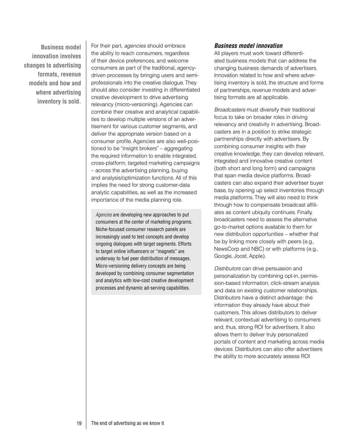**Business model innovation involves changes to advertising formats, revenue models and how and where advertising inventory is sold.**

For their part, agencies should embrace the ability to reach consumers, regardless of their device preferences, and welcome consumers as part of the traditional, agencydriven processes by bringing users and semiprofessionals into the creative dialogue. They should also consider investing in differentiated creative development to drive advertising relevancy (micro-versioning). Agencies can combine their creative and analytical capabilities to develop multiple versions of an advertisement for various customer segments, and deliver the appropriate version based on a consumer profile. Agencies are also well-positioned to be "insight brokers" – aggregating the required information to enable integrated, cross-platform, targeted marketing campaigns – across the advertising planning, buying and analysis/optimization functions. All of this implies the need for strong customer-data analytic capabilities, as well as the increased importance of the media planning role.

*Agencies* are developing new approaches to put consumers at the center of marketing programs. Niche-focused consumer research panels are increasingly used to test concepts and develop ongoing dialogues with target segments. Efforts to target online influencers or "magnets" are underway to fuel peer distribution of messages. Micro-versioning delivery concepts are being developed by combining consumer segmentation and analytics with low-cost creative development processes and dynamic ad-serving capabilities.

#### *Business model innovation*

All players must work toward differentiated business models that can address the changing business demands of advertisers. Innovation related to how and where advertising inventory is sold, the structure and forms of partnerships, revenue models and advertising formats are all applicable.

Broadcasters must diversify their traditional focus to take on broader roles in driving relevancy and creativity in advertising. Broadcasters are in a position to strike strategic partnerships directly with advertisers. By combining consumer insights with their creative knowledge, they can develop relevant, integrated and innovative creative content (both short and long form) and campaigns that span media device platforms. Broadcasters can also expand their advertiser buyer base, by opening up select inventories through media platforms. They will also need to think through how to compensate broadcast affiliates as content ubiquity continues. Finally, broadcasters need to assess the alternative go-to-market options available to them for new distribution opportunities – whether that be by linking more closely with peers (e.g., NewsCorp and NBC) or with platforms (e.g., Google, Joost, Apple).

Distributors can drive persuasion and personalization by combining opt-in, permission-based information, click-stream analysis and data on existing customer relationships. Distributors have a distinct advantage: the information they already have about their customers. This allows distributors to deliver relevant, contextual advertising to consumers and, thus, strong ROI for advertisers. It also allows them to deliver truly personalized portals of content and marketing across media devices. Distributors can also offer advertisers the ability to more accurately assess ROI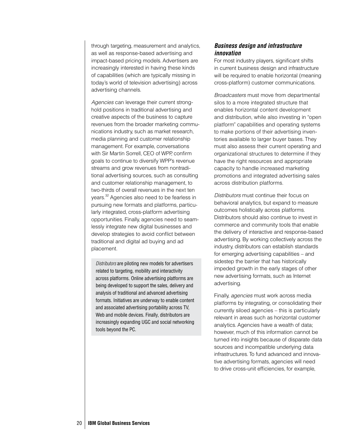through targeting, measurement and analytics, as well as response-based advertising and impact-based pricing models. Advertisers are increasingly interested in having these kinds of capabilities (which are typically missing in today's world of television advertising) across advertising channels.

Agencies can leverage their current stronghold positions in traditional advertising and creative aspects of the business to capture revenues from the broader marketing communications industry, such as market research, media planning and customer relationship management. For example, conversations with Sir Martin Sorrell, CEO of WPP, confirm goals to continue to diversify WPP's revenue streams and grow revenues from nontraditional advertising sources, such as consulting and customer relationship management, to two-thirds of overall revenues in the next ten years.32 Agencies also need to be fearless in pursuing new formats and platforms, particularly integrated, cross-platform advertising opportunities. Finally, agencies need to seamlessly integrate new digital businesses and develop strategies to avoid conflict between traditional and digital ad buying and ad placement.

*Distributors* are piloting new models for advertisers related to targeting, mobility and interactivity across platforms. Online advertising platforms are being developed to support the sales, delivery and analysis of traditional and advanced advertising formats. Initiatives are underway to enable content and associated advertising portability across TV, Web and mobile devices. Finally, distributors are increasingly expanding UGC and social networking tools beyond the PC.

## *Business design and infrastructure innovation*

For most industry players, significant shifts in current business design and infrastructure will be required to enable horizontal (meaning cross-platform) customer communications.

Broadcasters must move from departmental silos to a more integrated structure that enables horizontal content development and distribution, while also investing in "open platform" capabilities and operating systems to make portions of their advertising inventories available to larger buyer bases. They must also assess their current operating and organizational structures to determine if they have the right resources and appropriate capacity to handle increased marketing promotions and integrated advertising sales across distribution platforms.

Distributors must continue their focus on behavioral analytics, but expand to measure outcomes holistically across platforms. Distributors should also continue to invest in commerce and community tools that enable the delivery of interactive and response-based advertising. By working collectively across the industry, distributors can establish standards for emerging advertising capabilities – and sidestep the barrier that has historically impeded growth in the early stages of other new advertising formats, such as Internet advertising.

Finally, agencies must work across media platforms by integrating, or consolidating their currently siloed agencies – this is particularly relevant in areas such as horizontal customer analytics. Agencies have a wealth of data; however, much of this information cannot be turned into insights because of disparate data sources and incompatible underlying data infrastructures. To fund advanced and innovative advertising formats, agencies will need to drive cross-unit efficiencies, for example,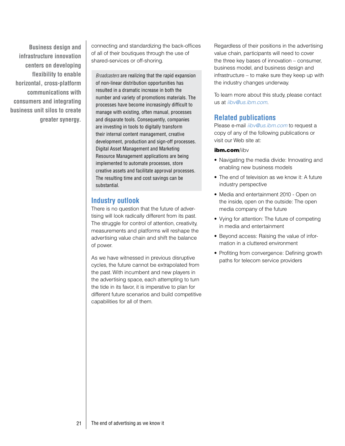**Business design and infrastructure innovation centers on developing flexibility to enable horizontal, cross-platform communications with consumers and integrating business unit silos to create greater synergy.**

connecting and standardizing the back-offices of all of their boutiques through the use of shared-services or off-shoring.

*Broadcasters* are realizing that the rapid expansion of non-linear distribution opportunities has resulted in a dramatic increase in both the number and variety of promotions materials. The processes have become increasingly difficult to manage with existing, often manual, processes and disparate tools. Consequently, companies are investing in tools to digitally transform their internal content management, creative development, production and sign-off processes. Digital Asset Management and Marketing Resource Management applications are being implemented to automate processes, store creative assets and facilitate approval processes. The resulting time and cost savings can be substantial.

## **Industry outlook**

There is no question that the future of advertising will look radically different from its past. The struggle for control of attention, creativity, measurements and platforms will reshape the advertising value chain and shift the balance of power.

As we have witnessed in previous disruptive cycles, the future cannot be extrapolated from the past. With incumbent and new players in the advertising space, each attempting to turn the tide in its favor, it is imperative to plan for different future scenarios and build competitive capabilities for all of them.

Regardless of their positions in the advertising value chain, participants will need to cover the three key bases of innovation – consumer, business model, and business design and infrastructure – to make sure they keep up with the industry changes underway.

To learn more about this study, please contact us at iibv@us.ibm.com.

## **Related publications**

Please e-mail *iibv@us.ibm.com* to request a copy of any of the following publications or visit our Web site at:

### ibm.com/iibv

- Navigating the media divide: Innovating and enabling new business models
- The end of television as we know it: A future industry perspective
- Media and entertainment 2010 Open on the inside, open on the outside: The open media company of the future
- Vying for attention: The future of competing in media and entertainment
- Beyond access: Raising the value of information in a cluttered environment
- Profiting from convergence: Defining growth paths for telecom service providers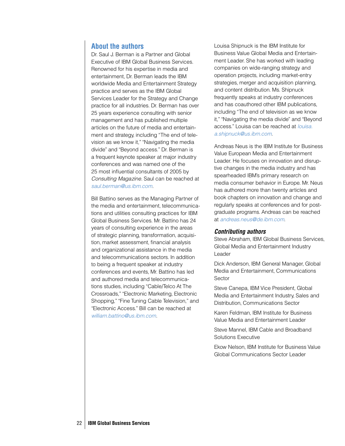## **About the authors**

Dr. Saul J. Berman is a Partner and Global Executive of IBM Global Business Services. Renowned for his expertise in media and entertainment, Dr. Berman leads the IBM worldwide Media and Entertainment Strategy practice and serves as the IBM Global Services Leader for the Strategy and Change practice for all industries. Dr. Berman has over 25 years experience consulting with senior management and has published multiple articles on the future of media and entertainment and strategy, including "The end of television as we know it," "Navigating the media divide" and "Beyond access." Dr. Berman is a frequent keynote speaker at major industry conferences and was named one of the 25 most influential consultants of 2005 by Consulting Magazine. Saul can be reached at saul.berman@us.ibm.com.

Bill Battino serves as the Managing Partner of the media and entertainment, telecommunications and utilities consulting practices for IBM Global Business Services. Mr. Battino has 24 years of consulting experience in the areas of strategic planning, transformation, acquisition, market assessment, financial analysis and organizational assistance in the media and telecommunications sectors. In addition to being a frequent speaker at industry conferences and events, Mr. Battino has led and authored media and telecommunications studies, including "Cable/Telco At The Crossroads," "Electronic Marketing, Electronic Shopping," "Fine Tuning Cable Television," and "Electronic Access." Bill can be reached at william.battino@us.ibm.com.

Louisa Shipnuck is the IBM Institute for Business Value Global Media and Entertainment Leader. She has worked with leading companies on wide-ranging strategy and operation projects, including market-entry strategies, merger and acquisition planning, and content distribution. Ms. Shipnuck frequently speaks at industry conferences and has coauthored other IBM publications, including "The end of television as we know it," "Navigating the media divide" and "Beyond access." Louisa can be reached at louisa. a.shipnuck@us.ibm.com.

Andreas Neus is the IBM Institute for Business Value European Media and Entertainment Leader. He focuses on innovation and disruptive changes in the media industry and has spearheaded IBM's primary research on media consumer behavior in Europe. Mr. Neus has authored more than twenty articles and book chapters on innovation and change and regularly speaks at conferences and for postgraduate programs. Andreas can be reached at andreas.neus@de.ibm.com.

#### *Contributing authors*

Steve Abraham, IBM Global Business Services, Global Media and Entertainment Industry Leader

Dick Anderson, IBM General Manager, Global Media and Entertainment, Communications Sector

Steve Canepa, IBM Vice President, Global Media and Entertainment Industry, Sales and Distribution, Communications Sector

Karen Feldman, IBM Institute for Business Value Media and Entertainment Leader

Steve Mannel, IBM Cable and Broadband Solutions Executive

Ekow Nelson, IBM Institute for Business Value Global Communications Sector Leader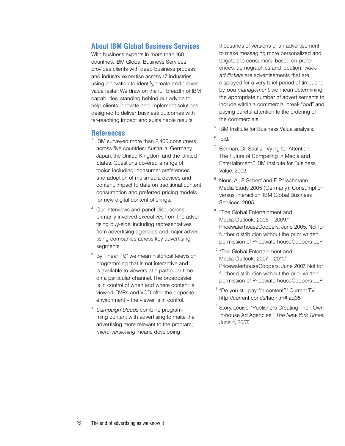# **About IBM Global Business Services**

With business experts in more than 160 countries, IBM Global Business Services provides clients with deep business process and industry expertise across 17 industries, using innovation to identify, create and deliver value faster. We draw on the full breadth of IBM capabilities, standing behind our advice to help clients innovate and implement solutions designed to deliver business outcomes with far-reaching impact and sustainable results.

## **References**

- $1$  IBM surveyed more than 2,400 consumers across five countries: Australia, Germany, Japan, the United Kingdom and the United States. Questions covered a range of topics including: consumer preferences and adoption of multimedia devices and content, impact to date on traditional content consumption and preferred pricing models for new digital content offerings.
- <sup>2</sup> Our interviews and panel discussions primarily involved executives from the advertising buy-side, including representatives from advertising agencies and major advertising companies across key advertising segments.
- By "linear TV," we mean historical television programming that is not interactive and is available to viewers at a particular time on a particular channel. The broadcaster is in control of when and where content is viewed. DVRs and VOD offer the opposite environment – the viewer is in control.
- Campaign bleeds combine programming content with advertising to make the advertising more relevant to the program; micro-versioning means developing

thousands of versions of an advertisement to make messaging more personalized and targeted to consumers, based on preferences, demographics and location; video ad flickers are advertisements that are displayed for a very brief period of time; and by pod management, we mean determining the appropriate number of advertisements to include within a commercial break "pod" and paying careful attention to the ordering of the commercials.

- <sup>5</sup> IBM Institute for Business Value analysis.
- <sup>6</sup> Ibid.
- Berman, Dr. Saul J. "Vying for Attention: The Future of Competing in Media and Entertainment." IBM Institute for Business Value. 2002.
- <sup>8</sup> Neus, A., P. Scherf and F. Pörschmann. Media Study 2005 (Germany): Consumption versus Interaction. IBM Global Business Services, 2005.
- <sup>9</sup> "The Global Entertainment and Media Outlook: 2005 – 2009." PricewaterhouseCoopers. June 2005. Not for further distribution without the prior written permission of PricewaterhouseCoopers LLP.
- <sup>10</sup> "The Global Entertainment and Media Outlook: 2007 – 2011." PricewaterhouseCoopers. June 2007. Not for further distribution without the prior written permission of PricewaterhouseCoopers LLP.
- <sup>11</sup> "Do you still pay for content?" Current TV. http://current.com/s/faq.htm#faq35
- <sup>12</sup> Story, Louise. "Publishers Creating Their Own In-house Ad Agencies." The New York Times. June 4, 2007.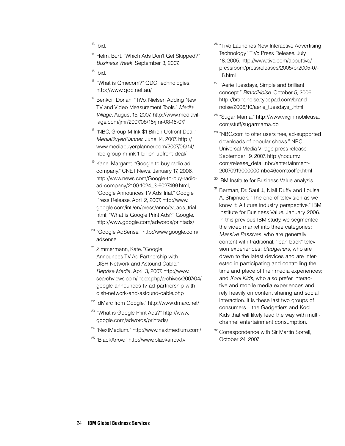$13$  Ibid.

<sup>14</sup> Helm, Burt. "Which Ads Don't Get Skipped?" Business Week. September 3, 2007.

 $15$  Ibid.

<sup>16</sup> "What is Qmecom?" QDC Technologies. http://www.qdc.net.au/

- <sup>17</sup> Benkoil, Dorian. "TiVo, Nielsen Adding New TV and Video Measurement Tools." Media Village. August 15, 2007. http://www.mediavillage.com/jmr/2007/08/15/jmr-08-15-07/
- "NBC, Group M Ink \$1 Billion Upfront Deal." MediaBuyerPlanner. June 14, 2007. http:// www.mediabuyerplanner.com/2007/06/14/ nbc-group-m-ink-1-billion-upfront-deal/
- <sup>19</sup> Kane, Margaret. "Google to buy radio ad company." CNET News. January 17, 2006. http://www.news.com/Google-to-buy-radioad-company/2100-1024\_3-6027499.html; "Google Announces TV Ads Trial." Google Press Release. April 2, 2007. http://www. google.com/intl/en/press/annc/tv\_ads\_trial. html; "What is Google Print Ads?" Google. http://www.google.com/adwords/printads/
- <sup>20</sup> "Google AdSense." http://www.google.com/ adsense
- <sup>21</sup> Zimmermann, Kate. "Google Announces TV Ad Partnership with DISH Network and Astound Cable." Reprise Media. April 3, 2007. http://www. searchviews.com/index.php/archives/2007/04/ google-announces-tv-ad-partnership-withdish-network-and-astound-cable.php
- 22 dMarc from Google." http://www.dmarc.net/
- <sup>23</sup> "What is Google Print Ads?" http://www. google.com/adwords/printads/
- <sup>24</sup> "NextMedium." http://www.nextmedium.com/
- <sup>25</sup> "BlackArrow." http://www.blackarrow.tv
- <sup>26</sup> "TiVo Launches New Interactive Advertising Technology." TiVo Press Release. July 18, 2005. http://www.tivo.com/abouttivo/ pressroom/pressreleases/2005/pr2005-07- 18.html
- $27$  "Aerie Tuesdays, Simple and brilliant concept." BrandNoise. October 5, 2006. http://brandnoise.typepad.com/brand\_ noise/2006/10/aerie\_tuesdays\_.html
- <sup>28</sup> "Sugar Mama." http://www.virginmobileusa. com/stuff/sugarmama.do
- <sup>29</sup> "NBC.com to offer users free, ad-supported downloads of popular shows." NBC Universal Media Village press release. September 19, 2007. http://nbcumv. com/release\_detail.nbc/entertainment-20070919000000-nbc46comtooffer.html
- <sup>30</sup> IBM Institute for Business Value analysis.
- <sup>31</sup> Berman, Dr. Saul J., Niall Duffy and Louisa A. Shipnuck. "The end of television as we know it: A future industry perspective." IBM Institute for Business Value. January 2006. In this previous IBM study, we segmented the video market into three categories: Massive Passives, who are generally content with traditional, "lean back" television experiences; Gadgetiers, who are drawn to the latest devices and are interested in participating and controlling the time and place of their media experiences; and Kool Kids, who also prefer interactive and mobile media experiences and rely heavily on content sharing and social interaction. It is these last two groups of consumers – the Gadgetiers and Kool Kids that will likely lead the way with multichannel entertainment consumption.
- <sup>32</sup> Correspondence with Sir Martin Sorrell, October 24, 2007.